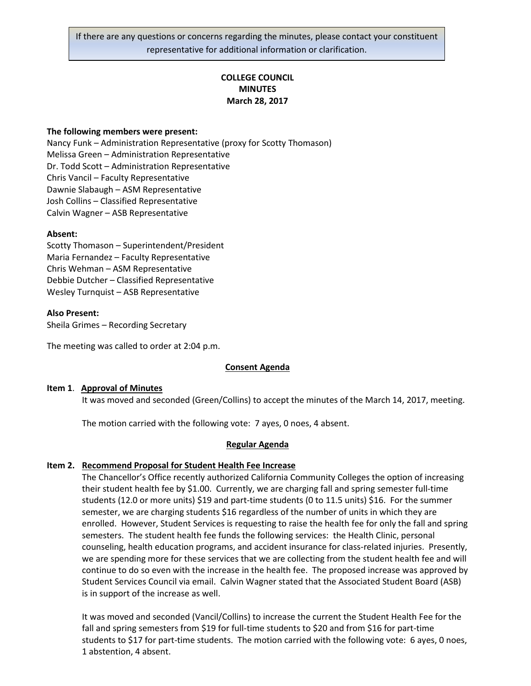If there are any questions or concerns regarding the minutes, please contact your constituent representative for additional information or clarification.

# **COLLEGE COUNCIL MINUTES March 28, 2017**

### **The following members were present:**

Nancy Funk – Administration Representative (proxy for Scotty Thomason) Melissa Green – Administration Representative Dr. Todd Scott – Administration Representative Chris Vancil – Faculty Representative Dawnie Slabaugh – ASM Representative Josh Collins – Classified Representative Calvin Wagner – ASB Representative

### **Absent:**

Scotty Thomason – Superintendent/President Maria Fernandez – Faculty Representative Chris Wehman – ASM Representative Debbie Dutcher – Classified Representative Wesley Turnquist – ASB Representative

### **Also Present:**

Sheila Grimes – Recording Secretary

The meeting was called to order at 2:04 p.m.

#### **Consent Agenda**

#### **Item 1**. **Approval of Minutes**

It was moved and seconded (Green/Collins) to accept the minutes of the March 14, 2017, meeting.

The motion carried with the following vote: 7 ayes, 0 noes, 4 absent.

#### **Regular Agenda**

#### **Item 2. Recommend Proposal for Student Health Fee Increase**

The Chancellor's Office recently authorized California Community Colleges the option of increasing their student health fee by \$1.00. Currently, we are charging fall and spring semester full-time students (12.0 or more units) \$19 and part-time students (0 to 11.5 units) \$16. For the summer semester, we are charging students \$16 regardless of the number of units in which they are enrolled. However, Student Services is requesting to raise the health fee for only the fall and spring semesters. The student health fee funds the following services: the Health Clinic, personal counseling, health education programs, and accident insurance for class-related injuries. Presently, we are spending more for these services that we are collecting from the student health fee and will continue to do so even with the increase in the health fee. The proposed increase was approved by Student Services Council via email. Calvin Wagner stated that the Associated Student Board (ASB) is in support of the increase as well.

It was moved and seconded (Vancil/Collins) to increase the current the Student Health Fee for the fall and spring semesters from \$19 for full-time students to \$20 and from \$16 for part-time students to \$17 for part-time students. The motion carried with the following vote: 6 ayes, 0 noes, 1 abstention, 4 absent.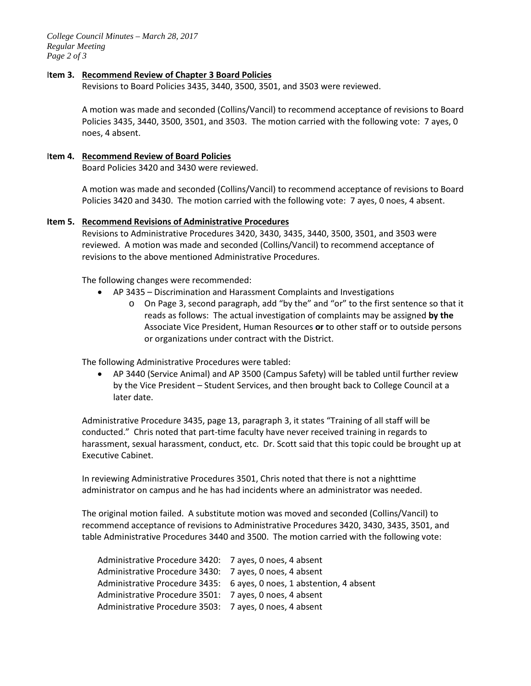*College Council Minutes – March 28, 2017 Regular Meeting Page 2 of 3*

### I**tem 3. Recommend Review of Chapter 3 Board Policies**

Revisions to Board Policies 3435, 3440, 3500, 3501, and 3503 were reviewed.

A motion was made and seconded (Collins/Vancil) to recommend acceptance of revisions to Board Policies 3435, 3440, 3500, 3501, and 3503. The motion carried with the following vote: 7 ayes, 0 noes, 4 absent.

## I**tem 4. Recommend Review of Board Policies**

Board Policies 3420 and 3430 were reviewed.

A motion was made and seconded (Collins/Vancil) to recommend acceptance of revisions to Board Policies 3420 and 3430. The motion carried with the following vote: 7 ayes, 0 noes, 4 absent.

## **Item 5. Recommend Revisions of Administrative Procedures**

Revisions to Administrative Procedures 3420, 3430, 3435, 3440, 3500, 3501, and 3503 were reviewed. A motion was made and seconded (Collins/Vancil) to recommend acceptance of revisions to the above mentioned Administrative Procedures.

The following changes were recommended:

- AP 3435 Discrimination and Harassment Complaints and Investigations
	- o On Page 3, second paragraph, add "by the" and "or" to the first sentence so that it reads as follows: The actual investigation of complaints may be assigned **by the** Associate Vice President, Human Resources **or** to other staff or to outside persons or organizations under contract with the District.

The following Administrative Procedures were tabled:

• AP 3440 (Service Animal) and AP 3500 (Campus Safety) will be tabled until further review by the Vice President – Student Services, and then brought back to College Council at a later date.

Administrative Procedure 3435, page 13, paragraph 3, it states "Training of all staff will be conducted." Chris noted that part-time faculty have never received training in regards to harassment, sexual harassment, conduct, etc. Dr. Scott said that this topic could be brought up at Executive Cabinet.

In reviewing Administrative Procedures 3501, Chris noted that there is not a nighttime administrator on campus and he has had incidents where an administrator was needed.

The original motion failed. A substitute motion was moved and seconded (Collins/Vancil) to recommend acceptance of revisions to Administrative Procedures 3420, 3430, 3435, 3501, and table Administrative Procedures 3440 and 3500. The motion carried with the following vote:

| Administrative Procedure 3420: 7 ayes, 0 noes, 4 absent |                                                                       |
|---------------------------------------------------------|-----------------------------------------------------------------------|
| Administrative Procedure 3430: 7 ayes, 0 noes, 4 absent |                                                                       |
|                                                         | Administrative Procedure 3435: 6 ayes, 0 noes, 1 abstention, 4 absent |
| Administrative Procedure 3501: 7 ayes, 0 noes, 4 absent |                                                                       |
| Administrative Procedure 3503: 7 ayes, 0 noes, 4 absent |                                                                       |